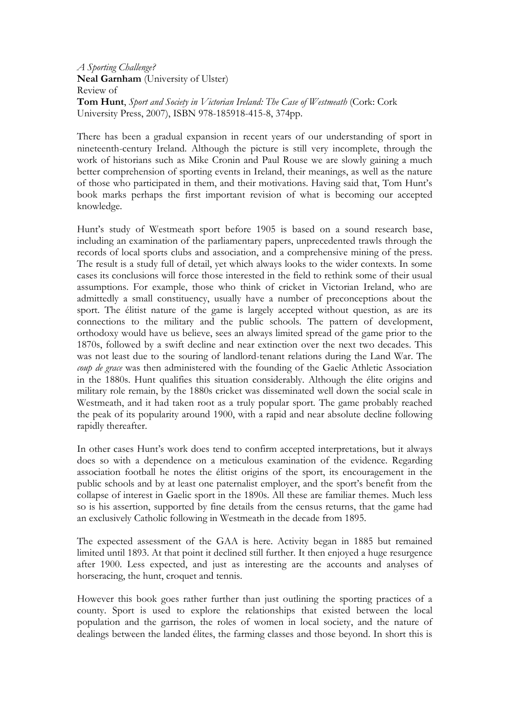A Sporting Challenge? Neal Garnham (University of Ulster) Review of Tom Hunt, Sport and Society in Victorian Ireland: The Case of Westmeath (Cork: Cork University Press, 2007), ISBN 978-185918-415-8, 374pp.

There has been a gradual expansion in recent years of our understanding of sport in nineteenth-century Ireland. Although the picture is still very incomplete, through the work of historians such as Mike Cronin and Paul Rouse we are slowly gaining a much better comprehension of sporting events in Ireland, their meanings, as well as the nature of those who participated in them, and their motivations. Having said that, Tom Hunt's book marks perhaps the first important revision of what is becoming our accepted knowledge.

Hunt's study of Westmeath sport before 1905 is based on a sound research base, including an examination of the parliamentary papers, unprecedented trawls through the records of local sports clubs and association, and a comprehensive mining of the press. The result is a study full of detail, yet which always looks to the wider contexts. In some cases its conclusions will force those interested in the field to rethink some of their usual assumptions. For example, those who think of cricket in Victorian Ireland, who are admittedly a small constituency, usually have a number of preconceptions about the sport. The élitist nature of the game is largely accepted without question, as are its connections to the military and the public schools. The pattern of development, orthodoxy would have us believe, sees an always limited spread of the game prior to the 1870s, followed by a swift decline and near extinction over the next two decades. This was not least due to the souring of landlord-tenant relations during the Land War. The coup de grace was then administered with the founding of the Gaelic Athletic Association in the 1880s. Hunt qualifies this situation considerably. Although the élite origins and military role remain, by the 1880s cricket was disseminated well down the social scale in Westmeath, and it had taken root as a truly popular sport. The game probably reached the peak of its popularity around 1900, with a rapid and near absolute decline following rapidly thereafter.

In other cases Hunt's work does tend to confirm accepted interpretations, but it always does so with a dependence on a meticulous examination of the evidence. Regarding association football he notes the élitist origins of the sport, its encouragement in the public schools and by at least one paternalist employer, and the sport's benefit from the collapse of interest in Gaelic sport in the 1890s. All these are familiar themes. Much less so is his assertion, supported by fine details from the census returns, that the game had an exclusively Catholic following in Westmeath in the decade from 1895.

The expected assessment of the GAA is here. Activity began in 1885 but remained limited until 1893. At that point it declined still further. It then enjoyed a huge resurgence after 1900. Less expected, and just as interesting are the accounts and analyses of horseracing, the hunt, croquet and tennis.

However this book goes rather further than just outlining the sporting practices of a county. Sport is used to explore the relationships that existed between the local population and the garrison, the roles of women in local society, and the nature of dealings between the landed élites, the farming classes and those beyond. In short this is